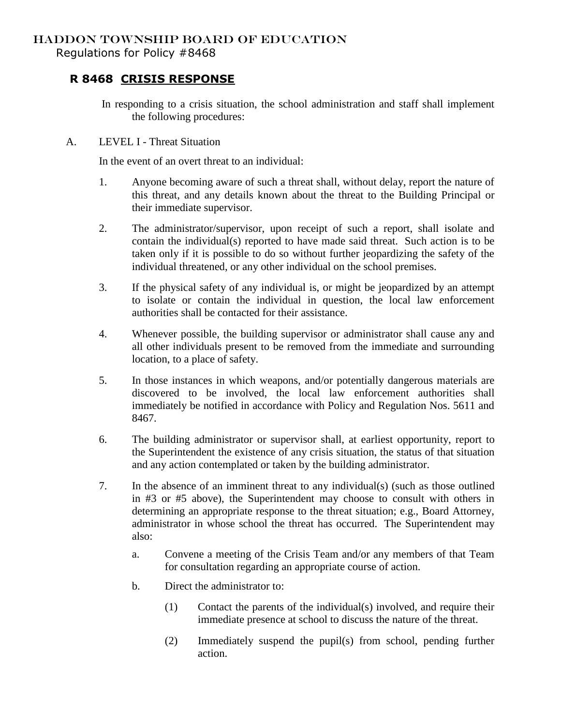Regulations for Policy #8468

## **R 8468 CRISIS RESPONSE**

In responding to a crisis situation, the school administration and staff shall implement the following procedures:

A. LEVEL I - Threat Situation

In the event of an overt threat to an individual:

- 1. Anyone becoming aware of such a threat shall, without delay, report the nature of this threat, and any details known about the threat to the Building Principal or their immediate supervisor.
- 2. The administrator/supervisor, upon receipt of such a report, shall isolate and contain the individual(s) reported to have made said threat. Such action is to be taken only if it is possible to do so without further jeopardizing the safety of the individual threatened, or any other individual on the school premises.
- 3. If the physical safety of any individual is, or might be jeopardized by an attempt to isolate or contain the individual in question, the local law enforcement authorities shall be contacted for their assistance.
- 4. Whenever possible, the building supervisor or administrator shall cause any and all other individuals present to be removed from the immediate and surrounding location, to a place of safety.
- 5. In those instances in which weapons, and/or potentially dangerous materials are discovered to be involved, the local law enforcement authorities shall immediately be notified in accordance with Policy and Regulation Nos. 5611 and 8467.
- 6. The building administrator or supervisor shall, at earliest opportunity, report to the Superintendent the existence of any crisis situation, the status of that situation and any action contemplated or taken by the building administrator.
- 7. In the absence of an imminent threat to any individual(s) (such as those outlined in #3 or #5 above), the Superintendent may choose to consult with others in determining an appropriate response to the threat situation; e.g., Board Attorney, administrator in whose school the threat has occurred. The Superintendent may also:
	- a. Convene a meeting of the Crisis Team and/or any members of that Team for consultation regarding an appropriate course of action.
	- b. Direct the administrator to:
		- (1) Contact the parents of the individual(s) involved, and require their immediate presence at school to discuss the nature of the threat.
		- (2) Immediately suspend the pupil(s) from school, pending further action.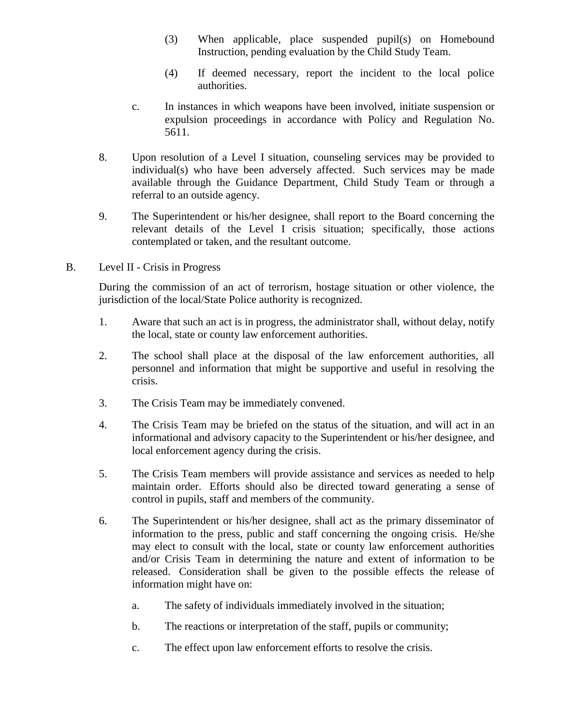- (3) When applicable, place suspended pupil(s) on Homebound Instruction, pending evaluation by the Child Study Team.
- (4) If deemed necessary, report the incident to the local police authorities.
- c. In instances in which weapons have been involved, initiate suspension or expulsion proceedings in accordance with Policy and Regulation No. 5611.
- 8. Upon resolution of a Level I situation, counseling services may be provided to individual(s) who have been adversely affected. Such services may be made available through the Guidance Department, Child Study Team or through a referral to an outside agency.
- 9. The Superintendent or his/her designee, shall report to the Board concerning the relevant details of the Level I crisis situation; specifically, those actions contemplated or taken, and the resultant outcome.
- B. Level II Crisis in Progress

During the commission of an act of terrorism, hostage situation or other violence, the jurisdiction of the local/State Police authority is recognized.

- 1. Aware that such an act is in progress, the administrator shall, without delay, notify the local, state or county law enforcement authorities.
- 2. The school shall place at the disposal of the law enforcement authorities, all personnel and information that might be supportive and useful in resolving the crisis.
- 3. The Crisis Team may be immediately convened.
- 4. The Crisis Team may be briefed on the status of the situation, and will act in an informational and advisory capacity to the Superintendent or his/her designee, and local enforcement agency during the crisis.
- 5. The Crisis Team members will provide assistance and services as needed to help maintain order. Efforts should also be directed toward generating a sense of control in pupils, staff and members of the community.
- 6. The Superintendent or his/her designee, shall act as the primary disseminator of information to the press, public and staff concerning the ongoing crisis. He/she may elect to consult with the local, state or county law enforcement authorities and/or Crisis Team in determining the nature and extent of information to be released. Consideration shall be given to the possible effects the release of information might have on:
	- a. The safety of individuals immediately involved in the situation;
	- b. The reactions or interpretation of the staff, pupils or community;
	- c. The effect upon law enforcement efforts to resolve the crisis.